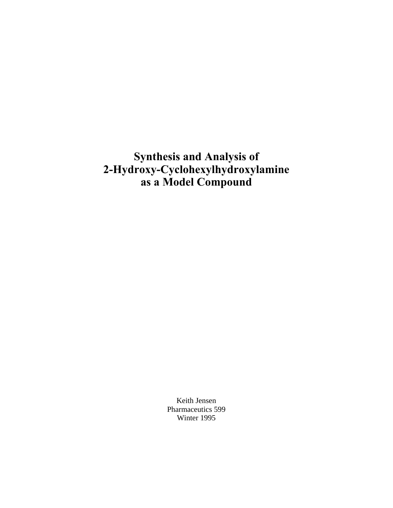**Synthesis and Analysis of 2-Hydroxy-Cyclohexylhydroxylamine as a Model Compound**

> Keith Jensen Pharmaceutics 599 Winter 1995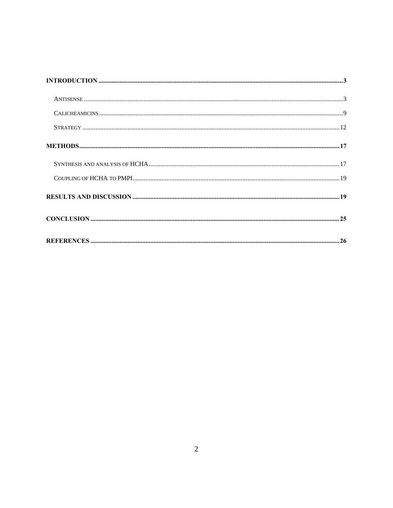| $\bf INTRODUCTION \,\,{} \dots \,\,{} \dots \,\,{} \dots \,\,{} \dots \,\,{} \dots \,\,{} \dots \,\,{} \dots \,\,{} \dots \,\,{} \dots \,\,{} \dots \,\,{} \dots \,\,{} \dots \,\,{} \dots \,\,{} \dots \,\,{} \dots \,\,{} \dots \,\,{} \dots \,\,{} \dots \,\,{} \dots \,\,{} \dots \,\,{} \dots \,\,{} \dots \,\,{} \dots \,\,{} \dots \,\,{} \dots \,\,{} \dots \,\,{} \dots \,\,{} \dots \,\,{} \dots \,\,{} \dots \,\,{} \dots \,\,{} \dots \,\,{} \dots \,\,{} \dots \,\,{} \dots \,\,{} \dots$ |  |
|--------------------------------------------------------------------------------------------------------------------------------------------------------------------------------------------------------------------------------------------------------------------------------------------------------------------------------------------------------------------------------------------------------------------------------------------------------------------------------------------------------|--|
|                                                                                                                                                                                                                                                                                                                                                                                                                                                                                                        |  |
|                                                                                                                                                                                                                                                                                                                                                                                                                                                                                                        |  |
|                                                                                                                                                                                                                                                                                                                                                                                                                                                                                                        |  |
|                                                                                                                                                                                                                                                                                                                                                                                                                                                                                                        |  |
|                                                                                                                                                                                                                                                                                                                                                                                                                                                                                                        |  |
|                                                                                                                                                                                                                                                                                                                                                                                                                                                                                                        |  |
|                                                                                                                                                                                                                                                                                                                                                                                                                                                                                                        |  |
|                                                                                                                                                                                                                                                                                                                                                                                                                                                                                                        |  |
|                                                                                                                                                                                                                                                                                                                                                                                                                                                                                                        |  |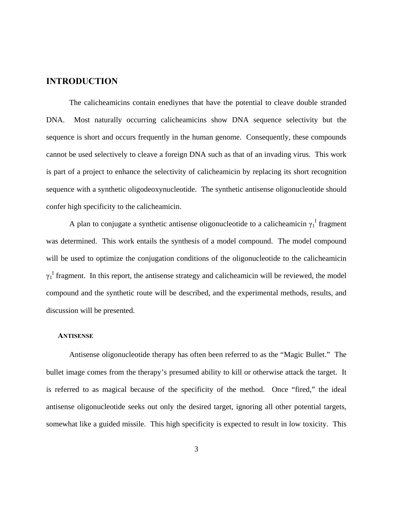## <span id="page-2-0"></span>**INTRODUCTION**

The calicheamicins contain enediynes that have the potential to cleave double stranded DNA. Most naturally occurring calicheamicins show DNA sequence selectivity but the sequence is short and occurs frequently in the human genome. Consequently, these compounds cannot be used selectively to cleave a foreign DNA such as that of an invading virus. This work is part of a project to enhance the selectivity of calicheamicin by replacing its short recognition sequence with a synthetic oligodeoxynucleotide. The synthetic antisense oligonucleotide should confer high specificity to the calicheamicin.

A plan to conjugate a synthetic antisense oligonucleotide to a calicheamicin  $\gamma_1^{\text{I}}$  fragment was determined. This work entails the synthesis of a model compound. The model compound will be used to optimize the conjugation conditions of the oligonucleotide to the calicheamicin  $\gamma_1$ <sup>I</sup> fragment. In this report, the antisense strategy and calicheamicin will be reviewed, the model compound and the synthetic route will be described, and the experimental methods, results, and discussion will be presented.

#### **ANTISENSE**

Antisense oligonucleotide therapy has often been referred to as the "Magic Bullet." The bullet image comes from the therapy's presumed ability to kill or otherwise attack the target. It is referred to as magical because of the specificity of the method. Once "fired," the ideal antisense oligonucleotide seeks out only the desired target, ignoring all other potential targets, somewhat like a guided missile. This high specificity is expected to result in low toxicity. This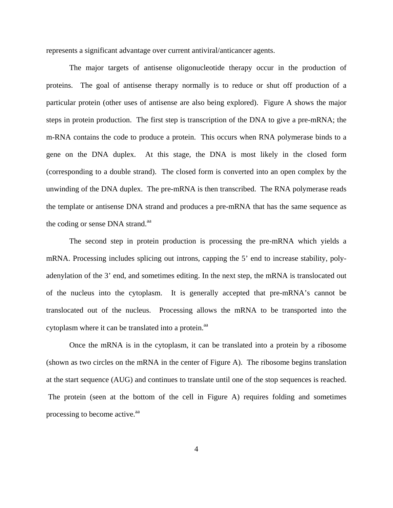represents a significant advantage over current antiviral/anticancer agents.

The major targets of antisense oligonucleotide therapy occur in the production of proteins. The goal of antisense therapy normally is to reduce or shut off production of a particular protein (other uses of antisense are also being explored). Figure A shows the major steps in protein production. The first step is transcription of the DNA to give a pre-mRNA; the m-RNA contains the code to produce a protein. This occurs when RNA polymerase binds to a gene on the DNA duplex. At this stage, the DNA is most likely in the closed form (corresponding to a double strand). The closed form is converted into an open complex by the unwinding of the DNA duplex. The pre-mRNA is then transcribed. The RNA polymerase reads the template or antisense DNA strand and produces a pre-mRNA that has the same sequence as the coding or sense DNA strand.<sup>aa</sup>

The second step in protein production is processing the pre-mRNA which yields a mRNA. Processing includes splicing out introns, capping the 5' end to increase stability, polyadenylation of the 3' end, and sometimes editing. In the next step, the mRNA is translocated out of the nucleus into the cytoplasm. It is generally accepted that pre-mRNA's cannot be translocated out of the nucleus. Processing allows the mRNA to be transported into the cytoplasm where it can be translated into a protein.<sup>aa</sup>

Once the mRNA is in the cytoplasm, it can be translated into a protein by a ribosome (shown as two circles on the mRNA in the center of Figure A). The ribosome begins translation at the start sequence (AUG) and continues to translate until one of the stop sequences is reached. The protein (seen at the bottom of the cell in Figure A) requires folding and sometimes processing to become active.<sup>aa</sup>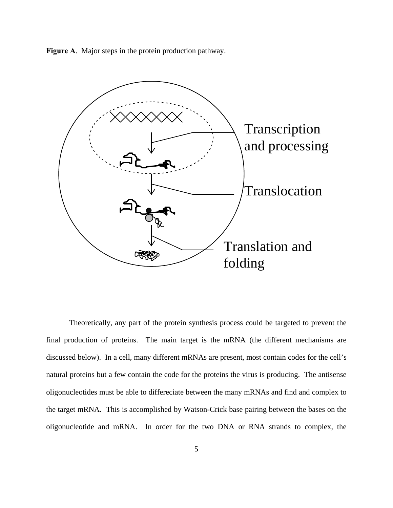**Figure A**. Major steps in the protein production pathway.



Theoretically, any part of the protein synthesis process could be targeted to prevent the final production of proteins. The main target is the mRNA (the different mechanisms are discussed below). In a cell, many different mRNAs are present, most contain codes for the cell's natural proteins but a few contain the code for the proteins the virus is producing. The antisense oligonucleotides must be able to differeciate between the many mRNAs and find and complex to the target mRNA. This is accomplished by Watson-Crick base pairing between the bases on the oligonucleotide and mRNA. In order for the two DNA or RNA strands to complex, the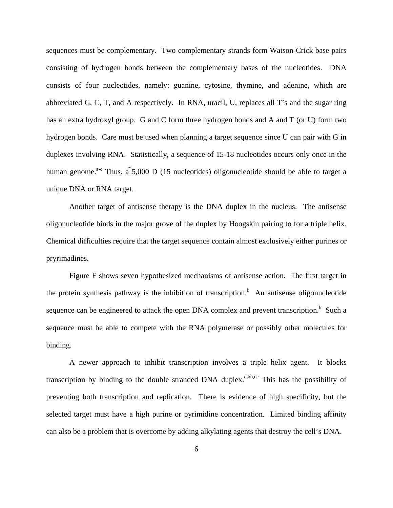sequences must be complementary. Two complementary strands form Watson-Crick base pairs consisting of hydrogen bonds between the complementary bases of the nucleotides. DNA consists of four nucleotides, namely: guanine, cytosine, thymine, and adenine, which are abbreviated G, C, T, and A respectively. In RNA, uracil, U, replaces all T's and the sugar ring has an extra hydroxyl group. G and C form three hydrogen bonds and A and T (or U) form two hydrogen bonds. Care must be used when planning a target sequence since U can pair with G in duplexes involving RNA. Statistically, a sequence of 15-18 nucleotides occurs only once in the human genome.<sup>a-c</sup> Thus,  $\tilde{a}$  5,000 D (15 nucleotides) oligonucleotide should be able to target a unique DNA or RNA target.

Another target of antisense therapy is the DNA duplex in the nucleus. The antisense oligonucleotide binds in the major grove of the duplex by Hoogskin pairing to for a triple helix. Chemical difficulties require that the target sequence contain almost exclusively either purines or pryrimadines.

Figure F shows seven hypothesized mechanisms of antisense action. The first target in the protein synthesis pathway is the inhibition of transcription.<sup>b</sup> An antisense oligonucleotide sequence can be engineered to attack the open DNA complex and prevent transcription.<sup>b</sup> Such a sequence must be able to compete with the RNA polymerase or possibly other molecules for binding.

A newer approach to inhibit transcription involves a triple helix agent. It blocks transcription by binding to the double stranded DNA duplex.<sup>c,bb,cc</sup> This has the possibility of preventing both transcription and replication. There is evidence of high specificity, but the selected target must have a high purine or pyrimidine concentration. Limited binding affinity can also be a problem that is overcome by adding alkylating agents that destroy the cell's DNA.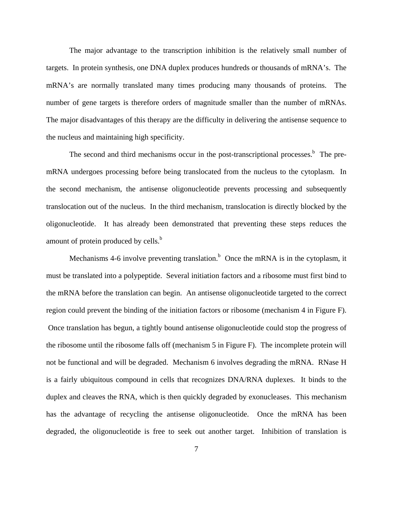The major advantage to the transcription inhibition is the relatively small number of targets. In protein synthesis, one DNA duplex produces hundreds or thousands of mRNA's. The mRNA's are normally translated many times producing many thousands of proteins. The number of gene targets is therefore orders of magnitude smaller than the number of mRNAs. The major disadvantages of this therapy are the difficulty in delivering the antisense sequence to the nucleus and maintaining high specificity.

The second and third mechanisms occur in the post-transcriptional processes. $<sup>b</sup>$  The pre-</sup> mRNA undergoes processing before being translocated from the nucleus to the cytoplasm. In the second mechanism, the antisense oligonucleotide prevents processing and subsequently translocation out of the nucleus. In the third mechanism, translocation is directly blocked by the oligonucleotide. It has already been demonstrated that preventing these steps reduces the amount of protein produced by cells.<sup>b</sup>

Mechanisms 4-6 involve preventing translation.<sup>b</sup> Once the mRNA is in the cytoplasm, it must be translated into a polypeptide. Several initiation factors and a ribosome must first bind to the mRNA before the translation can begin. An antisense oligonucleotide targeted to the correct region could prevent the binding of the initiation factors or ribosome (mechanism 4 in Figure F). Once translation has begun, a tightly bound antisense oligonucleotide could stop the progress of the ribosome until the ribosome falls off (mechanism 5 in Figure F). The incomplete protein will not be functional and will be degraded. Mechanism 6 involves degrading the mRNA. RNase H is a fairly ubiquitous compound in cells that recognizes DNA/RNA duplexes. It binds to the duplex and cleaves the RNA, which is then quickly degraded by exonucleases. This mechanism has the advantage of recycling the antisense oligonucleotide. Once the mRNA has been degraded, the oligonucleotide is free to seek out another target. Inhibition of translation is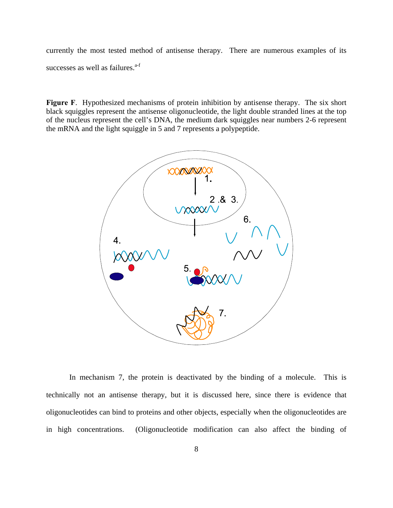currently the most tested method of antisense therapy. There are numerous examples of its successes as well as failures. $a-f$ 

**Figure F**. Hypothesized mechanisms of protein inhibition by antisense therapy. The six short black squiggles represent the antisense oligonucleotide, the light double stranded lines at the top of the nucleus represent the cell's DNA, the medium dark squiggles near numbers 2-6 represent the mRNA and the light squiggle in 5 and 7 represents a polypeptide.



In mechanism 7, the protein is deactivated by the binding of a molecule. This is technically not an antisense therapy, but it is discussed here, since there is evidence that oligonucleotides can bind to proteins and other objects, especially when the oligonucleotides are in high concentrations. (Oligonucleotide modification can also affect the binding of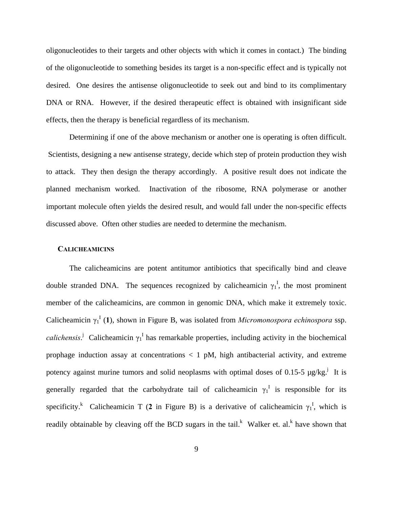<span id="page-8-0"></span>oligonucleotides to their targets and other objects with which it comes in contact.) The binding of the oligonucleotide to something besides its target is a non-specific effect and is typically not desired. One desires the antisense oligonucleotide to seek out and bind to its complimentary DNA or RNA. However, if the desired therapeutic effect is obtained with insignificant side effects, then the therapy is beneficial regardless of its mechanism.

Determining if one of the above mechanism or another one is operating is often difficult. Scientists, designing a new antisense strategy, decide which step of protein production they wish to attack. They then design the therapy accordingly. A positive result does not indicate the planned mechanism worked. Inactivation of the ribosome, RNA polymerase or another important molecule often yields the desired result, and would fall under the non-specific effects discussed above. Often other studies are needed to determine the mechanism.

#### **CALICHEAMICINS**

The calicheamicins are potent antitumor antibiotics that specifically bind and cleave double stranded DNA. The sequences recognized by calicheamicin  $\gamma_1^I$ , the most prominent member of the calicheamicins, are common in genomic DNA, which make it extremely toxic. Calicheamicin  $\gamma_1^{\rm I}$  (1), shown in Figure B, was isolated from *Micromonospora echinospora* ssp. *calichensis*.<sup>j</sup> Calicheamicin  $\gamma_1^I$  has remarkable properties, including activity in the biochemical prophage induction assay at concentrations  $\langle 1 \text{ pM} \rangle$ , high antibacterial activity, and extreme potency against murine tumors and solid neoplasms with optimal doses of 0.15-5  $\mu$ g/kg.<sup>j</sup> It is generally regarded that the carbohydrate tail of calicheamicin  $\gamma_1^I$  is responsible for its specificity.<sup>k</sup> Calicheamicin T (2 in Figure B) is a derivative of calicheamicin  $\gamma_1^1$ , which is readily obtainable by cleaving off the BCD sugars in the tail.<sup>k</sup> Walker et. al.<sup>k</sup> have shown that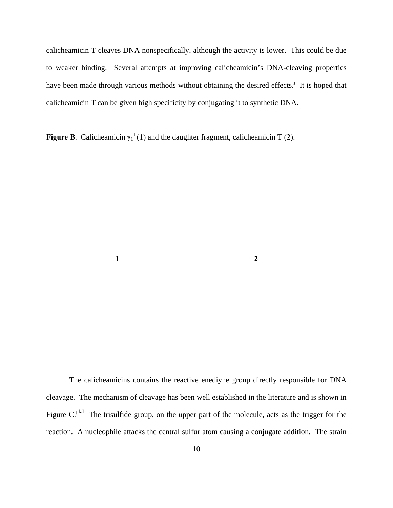calicheamicin T cleaves DNA nonspecifically, although the activity is lower. This could be due to weaker binding. Several attempts at improving calicheamicin's DNA-cleaving properties have been made through various methods without obtaining the desired effects.<sup>j</sup> It is hoped that calicheamicin T can be given high specificity by conjugating it to synthetic DNA.

**Figure B**. Calicheamicin  $\gamma_1^I(1)$  and the daughter fragment, calicheamicin T (2).

**1 2**

The calicheamicins contains the reactive enediyne group directly responsible for DNA cleavage. The mechanism of cleavage has been well established in the literature and is shown in Figure  $C_{n,k,l}$  The trisulfide group, on the upper part of the molecule, acts as the trigger for the reaction. A nucleophile attacks the central sulfur atom causing a conjugate addition. The strain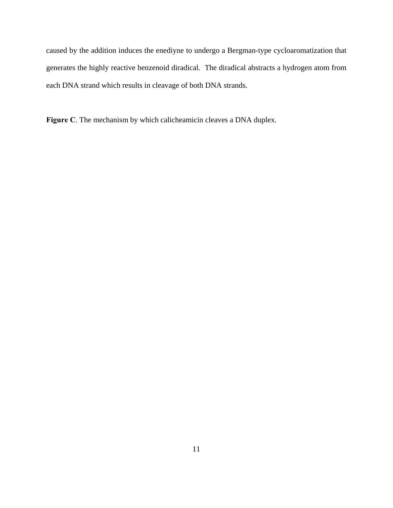caused by the addition induces the enediyne to undergo a Bergman-type cycloaromatization that generates the highly reactive benzenoid diradical. The diradical abstracts a hydrogen atom from each DNA strand which results in cleavage of both DNA strands.

**Figure C**. The mechanism by which calicheamicin cleaves a DNA duplex.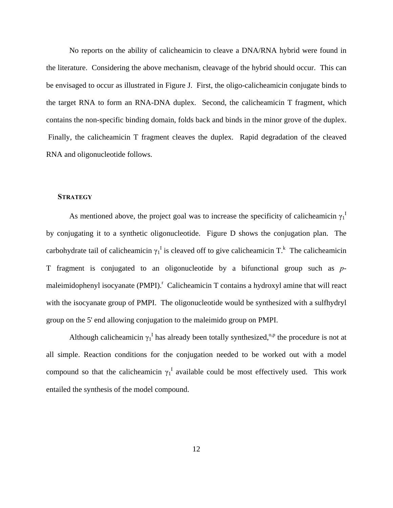<span id="page-11-0"></span>No reports on the ability of calicheamicin to cleave a DNA/RNA hybrid were found in the literature. Considering the above mechanism, cleavage of the hybrid should occur. This can be envisaged to occur as illustrated in Figure J. First, the oligo-calicheamicin conjugate binds to the target RNA to form an RNA-DNA duplex. Second, the calicheamicin T fragment, which contains the non-specific binding domain, folds back and binds in the minor grove of the duplex. Finally, the calicheamicin T fragment cleaves the duplex. Rapid degradation of the cleaved RNA and oligonucleotide follows.

### **STRATEGY**

As mentioned above, the project goal was to increase the specificity of calicheamicin  $\gamma_1^{\perp}$ by conjugating it to a synthetic oligonucleotide. Figure D shows the conjugation plan. The carbohydrate tail of calicheamicin  $\gamma_1^I$  is cleaved off to give calicheamicin T.<sup>k</sup> The calicheamicin T fragment is conjugated to an oligonucleotide by a bifunctional group such as *p*maleimidophenyl isocyanate (PMPI).<sup>r</sup> Calicheamicin T contains a hydroxyl amine that will react with the isocyanate group of PMPI. The oligonucleotide would be synthesized with a sulfhydryl group on the 5' end allowing conjugation to the maleimido group on PMPI.

Although calicheamicin  $\gamma_1^{\text{I}}$  has already been totally synthesized,<sup>o,p</sup> the procedure is not at all simple. Reaction conditions for the conjugation needed to be worked out with a model compound so that the calicheamicin  $\gamma_1^{\text{I}}$  available could be most effectively used. This work entailed the synthesis of the model compound.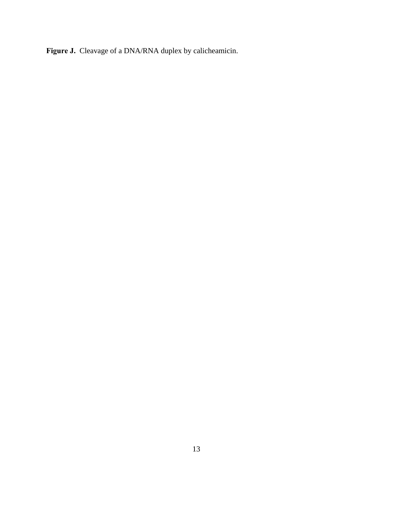**Figure J.** Cleavage of a DNA/RNA duplex by calicheamicin.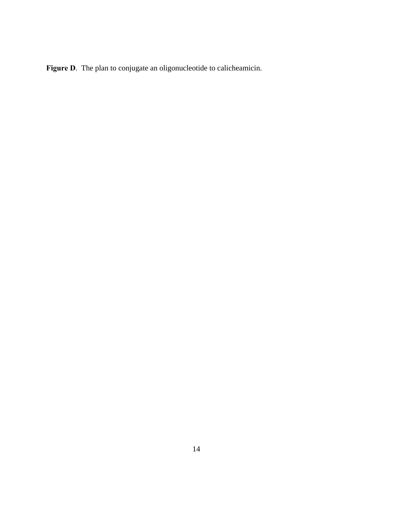**Figure D**. The plan to conjugate an oligonucleotide to calicheamicin.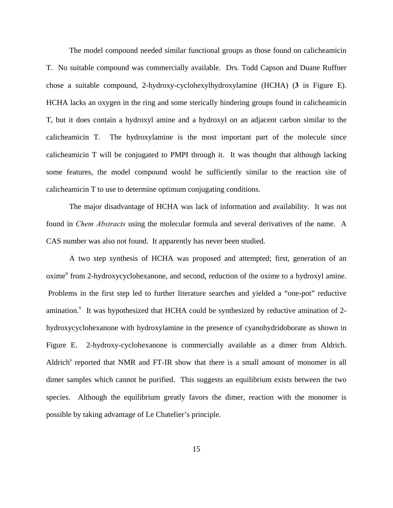The model compound needed similar functional groups as those found on calicheamicin T. No suitable compound was commercially available. Drs. Todd Capson and Duane Ruffner chose a suitable compound, 2-hydroxy-cyclohexylhydroxylamine (HCHA) (**3** in Figure E). HCHA lacks an oxygen in the ring and some sterically hindering groups found in calicheamicin T, but it does contain a hydroxyl amine and a hydroxyl on an adjacent carbon similar to the calicheamicin T. The hydroxylamine is the most important part of the molecule since calicheamicin T will be conjugated to PMPI through it. It was thought that although lacking some features, the model compound would be sufficiently similar to the reaction site of calicheamicin T to use to determine optimum conjugating conditions.

The major disadvantage of HCHA was lack of information and availability. It was not found in *Chem Abstracts* using the molecular formula and several derivatives of the name. A CAS number was also not found. It apparently has never been studied.

A two step synthesis of HCHA was proposed and attempted; first, generation of an oxime<sup>u</sup> from 2-hydroxycyclohexanone, and second, reduction of the oxime to a hydroxyl amine. Problems in the first step led to further literature searches and yielded a "one-pot" reductive amination.<sup>v</sup> It was hypothesized that HCHA could be synthesized by reductive amination of 2hydroxycyclohexanone with hydroxylamine in the presence of cyanohydridoborate as shown in Figure E. 2-hydroxy-cyclohexanone is commercially available as a dimer from Aldrich. Aldrich<sup>s</sup> reported that NMR and FT-IR show that there is a small amount of monomer in all dimer samples which cannot be purified. This suggests an equilibrium exists between the two species. Although the equilibrium greatly favors the dimer, reaction with the monomer is possible by taking advantage of Le Chatelier's principle.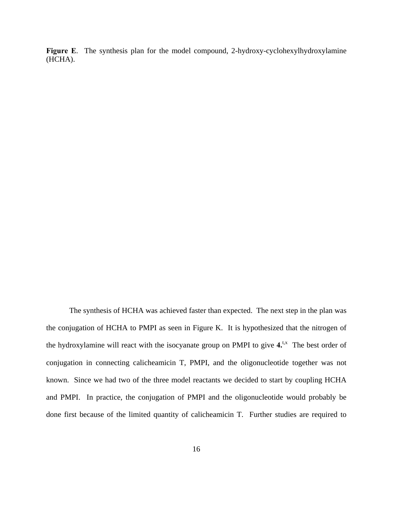**Figure E**. The synthesis plan for the model compound, 2-hydroxy-cyclohexylhydroxylamine (HCHA).

The synthesis of HCHA was achieved faster than expected. The next step in the plan was the conjugation of HCHA to PMPI as seen in Figure K. It is hypothesized that the nitrogen of the hydroxylamine will react with the isocyanate group on PMPI to give  $4$ <sup>t,x</sup> The best order of conjugation in connecting calicheamicin T, PMPI, and the oligonucleotide together was not known. Since we had two of the three model reactants we decided to start by coupling HCHA and PMPI. In practice, the conjugation of PMPI and the oligonucleotide would probably be done first because of the limited quantity of calicheamicin T. Further studies are required to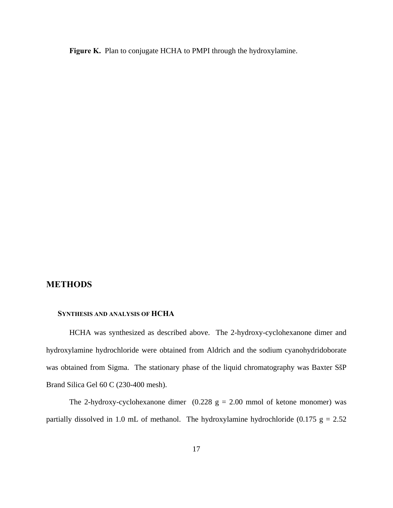<span id="page-16-0"></span>**Figure K.** Plan to conjugate HCHA to PMPI through the hydroxylamine.

# **METHODS**

### **SYNTHESIS AND ANALYSIS OF HCHA**

HCHA was synthesized as described above. The 2-hydroxy-cyclohexanone dimer and hydroxylamine hydrochloride were obtained from Aldrich and the sodium cyanohydridoborate was obtained from Sigma. The stationary phase of the liquid chromatography was Baxter SšP Brand Silica Gel 60 C (230-400 mesh).

The 2-hydroxy-cyclohexanone dimer  $(0.228 \text{ g} = 2.00 \text{ mmol of }k)$  was partially dissolved in 1.0 mL of methanol. The hydroxylamine hydrochloride (0.175  $g = 2.52$ )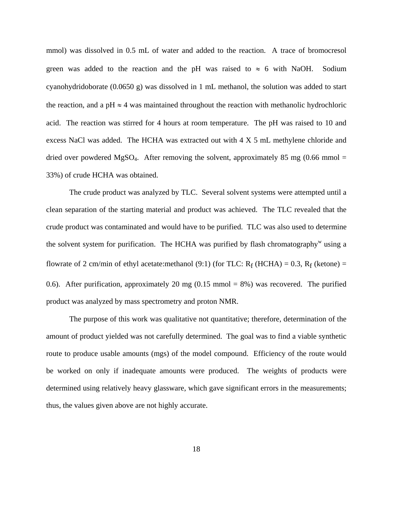mmol) was dissolved in 0.5 mL of water and added to the reaction. A trace of bromocresol green was added to the reaction and the pH was raised to  $\approx$  6 with NaOH. Sodium cyanohydridoborate (0.0650 g) was dissolved in 1 mL methanol, the solution was added to start the reaction, and a pH  $\approx$  4 was maintained throughout the reaction with methanolic hydrochloric acid. The reaction was stirred for 4 hours at room temperature. The pH was raised to 10 and excess NaCl was added. The HCHA was extracted out with 4 X 5 mL methylene chloride and dried over powdered MgSO<sub>4</sub>. After removing the solvent, approximately 85 mg (0.66 mmol  $=$ 33%) of crude HCHA was obtained.

The crude product was analyzed by TLC. Several solvent systems were attempted until a clean separation of the starting material and product was achieved. The TLC revealed that the crude product was contaminated and would have to be purified. TLC was also used to determine the solvent system for purification. The HCHA was purified by flash chromatography<sup>w</sup> using a flowrate of 2 cm/min of ethyl acetate:methanol (9:1) (for TLC:  $R_f$  (HCHA) = 0.3,  $R_f$  (ketone) = 0.6). After purification, approximately 20 mg  $(0.15 \text{ mmol} = 8\%)$  was recovered. The purified product was analyzed by mass spectrometry and proton NMR.

The purpose of this work was qualitative not quantitative; therefore, determination of the amount of product yielded was not carefully determined. The goal was to find a viable synthetic route to produce usable amounts (mgs) of the model compound. Efficiency of the route would be worked on only if inadequate amounts were produced. The weights of products were determined using relatively heavy glassware, which gave significant errors in the measurements; thus, the values given above are not highly accurate.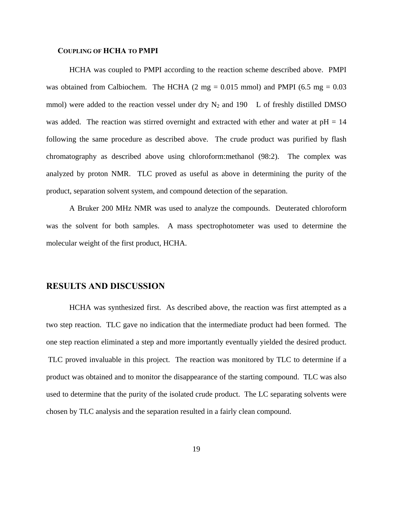#### <span id="page-18-0"></span> **COUPLING OF HCHA TO PMPI**

HCHA was coupled to PMPI according to the reaction scheme described above. PMPI was obtained from Calbiochem. The HCHA  $(2 \text{ mg} = 0.015 \text{ mmol})$  and PMPI  $(6.5 \text{ mg} = 0.03$ mmol) were added to the reaction vessel under dry  $N_2$  and 190 L of freshly distilled DMSO was added. The reaction was stirred overnight and extracted with ether and water at pH = 14 following the same procedure as described above. The crude product was purified by flash chromatography as described above using chloroform:methanol (98:2). The complex was analyzed by proton NMR. TLC proved as useful as above in determining the purity of the product, separation solvent system, and compound detection of the separation.

A Bruker 200 MHz NMR was used to analyze the compounds. Deuterated chloroform was the solvent for both samples. A mass spectrophotometer was used to determine the molecular weight of the first product, HCHA.

## **RESULTS AND DISCUSSION**

HCHA was synthesized first. As described above, the reaction was first attempted as a two step reaction. TLC gave no indication that the intermediate product had been formed. The one step reaction eliminated a step and more importantly eventually yielded the desired product. TLC proved invaluable in this project. The reaction was monitored by TLC to determine if a product was obtained and to monitor the disappearance of the starting compound. TLC was also used to determine that the purity of the isolated crude product. The LC separating solvents were chosen by TLC analysis and the separation resulted in a fairly clean compound.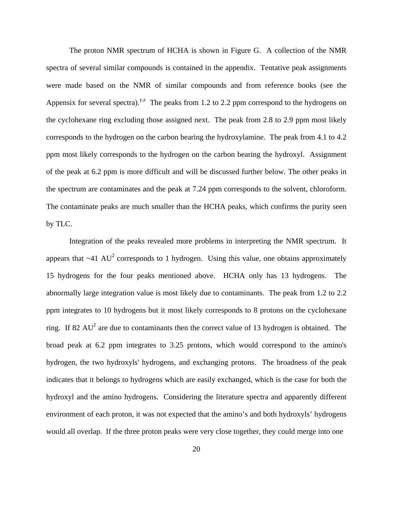The proton NMR spectrum of HCHA is shown in Figure G. A collection of the NMR spectra of several similar compounds is contained in the appendix. Tentative peak assignments were made based on the NMR of similar compounds and from reference books (see the Appensix for several spectra).<sup>y,z</sup> The peaks from 1.2 to 2.2 ppm correspond to the hydrogens on the cyclohexane ring excluding those assigned next. The peak from 2.8 to 2.9 ppm most likely corresponds to the hydrogen on the carbon bearing the hydroxylamine. The peak from 4.1 to 4.2 ppm most likely corresponds to the hydrogen on the carbon bearing the hydroxyl. Assignment of the peak at 6.2 ppm is more difficult and will be discussed further below. The other peaks in the spectrum are contaminates and the peak at 7.24 ppm corresponds to the solvent, chloroform. The contaminate peaks are much smaller than the HCHA peaks, which confirms the purity seen by TLC.

Integration of the peaks revealed more problems in interpreting the NMR spectrum. It appears that  $\sim$ 41 AU<sup>2</sup> corresponds to 1 hydrogen. Using this value, one obtains approximately 15 hydrogens for the four peaks mentioned above. HCHA only has 13 hydrogens. The abnormally large integration value is most likely due to contaminants. The peak from 1.2 to 2.2 ppm integrates to 10 hydrogens but it most likely corresponds to 8 protons on the cyclohexane ring. If 82  $AU^2$  are due to contaminants then the correct value of 13 hydrogen is obtained. The broad peak at 6.2 ppm integrates to 3.25 protons, which would correspond to the amino's hydrogen, the two hydroxyls' hydrogens, and exchanging protons. The broadness of the peak indicates that it belongs to hydrogens which are easily exchanged, which is the case for both the hydroxyl and the amino hydrogens. Considering the literature spectra and apparently different environment of each proton, it was not expected that the amino's and both hydroxyls' hydrogens would all overlap. If the three proton peaks were very close together, they could merge into one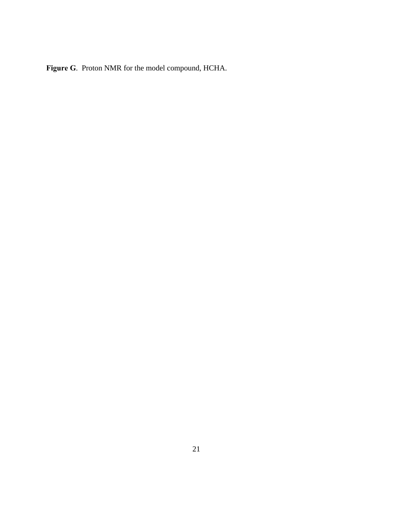**Figure G**. Proton NMR for the model compound, HCHA.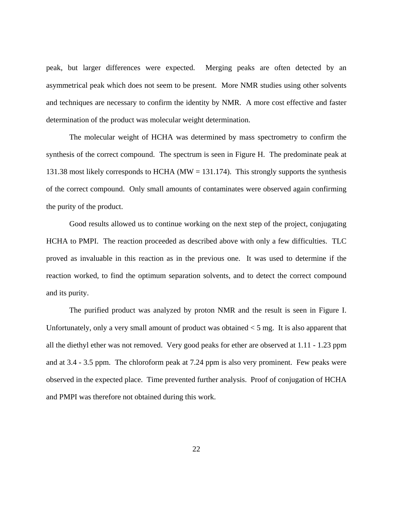peak, but larger differences were expected. Merging peaks are often detected by an asymmetrical peak which does not seem to be present. More NMR studies using other solvents and techniques are necessary to confirm the identity by NMR. A more cost effective and faster determination of the product was molecular weight determination.

The molecular weight of HCHA was determined by mass spectrometry to confirm the synthesis of the correct compound. The spectrum is seen in Figure H. The predominate peak at 131.38 most likely corresponds to HCHA ( $MW = 131.174$ ). This strongly supports the synthesis of the correct compound. Only small amounts of contaminates were observed again confirming the purity of the product.

Good results allowed us to continue working on the next step of the project, conjugating HCHA to PMPI. The reaction proceeded as described above with only a few difficulties. TLC proved as invaluable in this reaction as in the previous one. It was used to determine if the reaction worked, to find the optimum separation solvents, and to detect the correct compound and its purity.

The purified product was analyzed by proton NMR and the result is seen in Figure I. Unfortunately, only a very small amount of product was obtained  $<$  5 mg. It is also apparent that all the diethyl ether was not removed. Very good peaks for ether are observed at 1.11 - 1.23 ppm and at 3.4 - 3.5 ppm. The chloroform peak at 7.24 ppm is also very prominent. Few peaks were observed in the expected place. Time prevented further analysis. Proof of conjugation of HCHA and PMPI was therefore not obtained during this work.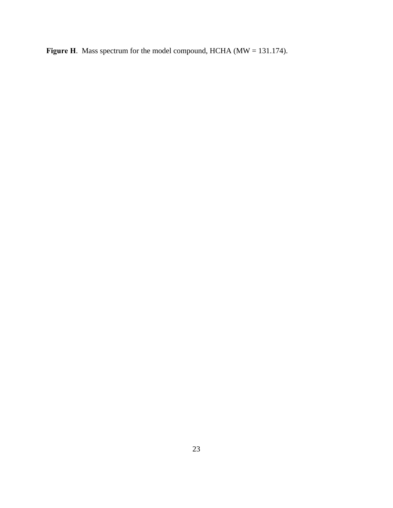**Figure H**. Mass spectrum for the model compound, HCHA (MW = 131.174).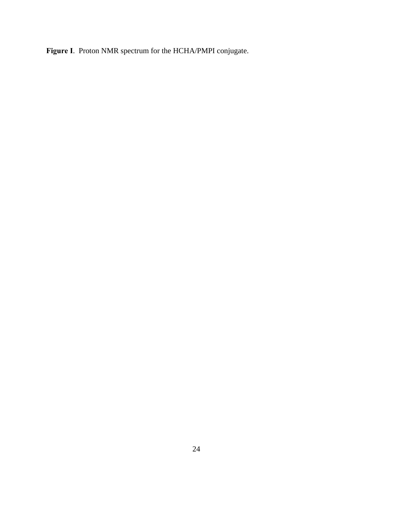**Figure I**. Proton NMR spectrum for the HCHA/PMPI conjugate.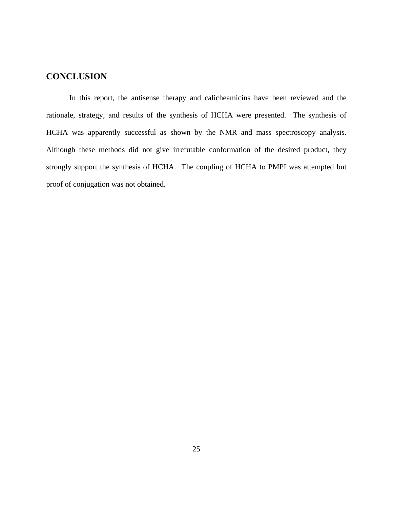# <span id="page-24-0"></span>**CONCLUSION**

In this report, the antisense therapy and calicheamicins have been reviewed and the rationale, strategy, and results of the synthesis of HCHA were presented. The synthesis of HCHA was apparently successful as shown by the NMR and mass spectroscopy analysis. Although these methods did not give irrefutable conformation of the desired product, they strongly support the synthesis of HCHA. The coupling of HCHA to PMPI was attempted but proof of conjugation was not obtained.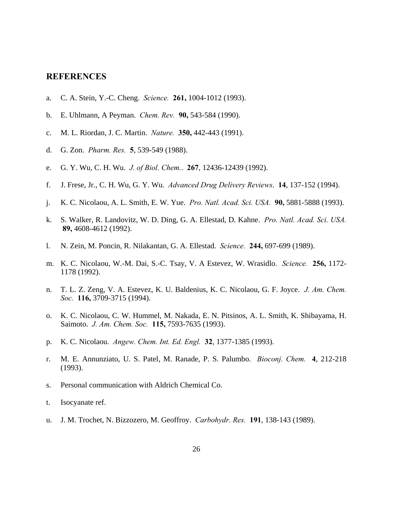## <span id="page-25-0"></span>**REFERENCES**

- a. C. A. Stein, Y.-C. Cheng. *Science.* **261,** 1004-1012 (1993).
- b. E. Uhlmann, A Peyman. *Chem. Rev.* **90,** 543-584 (1990).
- c. M. L. Riordan, J. C. Martin. *Nature.* **350,** 442-443 (1991).
- d. G. Zon. *Pharm. Res.* **5**, 539-549 (1988).
- e. G. Y. Wu, C. H. Wu. *J. of Biol. Chem.*. **267**, 12436-12439 (1992).
- f. J. Frese, Jr., C. H. Wu, G. Y. Wu. *Advanced Drug Delivery Reviews*. **14**, 137-152 (1994).
- j. K. C. Nicolaou, A. L. Smith, E. W. Yue. *Pro. Natl. Acad. Sci. USA.* **90,** 5881-5888 (1993).
- k. S. Walker, R. Landovitz, W. D. Ding, G. A. Ellestad, D. Kahne. *Pro. Natl. Acad. Sci. USA.* **89,** 4608-4612 (1992).
- l. N. Zein, M. Poncin, R. Nilakantan, G. A. Ellestad. *Science.* **244,** 697-699 (1989).
- m. K. C. Nicolaou, W.-M. Dai, S.-C. Tsay, V. A Estevez, W. Wrasidlo. *Science.* **256,** 1172- 1178 (1992).
- n. T. L. Z. Zeng, V. A. Estevez, K. U. Baldenius, K. C. Nicolaou, G. F. Joyce. *J. Am. Chem. Soc.* **116,** 3709-3715 (1994).
- o. K. C. Nicolaou, C. W. Hummel, M. Nakada, E. N. Pitsinos, A. L. Smith, K. Shibayama, H. Saimoto. *J. Am. Chem. Soc.* **115,** 7593-7635 (1993).
- p. K. C. Nicolaou. *Angew. Chem. Int. Ed. Engl.* **32**, 1377-1385 (1993).
- r. M. E. Annunziato, U. S. Patel, M. Ranade, P. S. Palumbo. *Bioconj. Chem.* **4**, 212-218 (1993).
- s. Personal communication with Aldrich Chemical Co.
- t. Isocyanate ref.
- u. J. M. Trochet, N. Bizzozero, M. Geoffroy. *Carbohydr. Res.* **191**, 138-143 (1989).